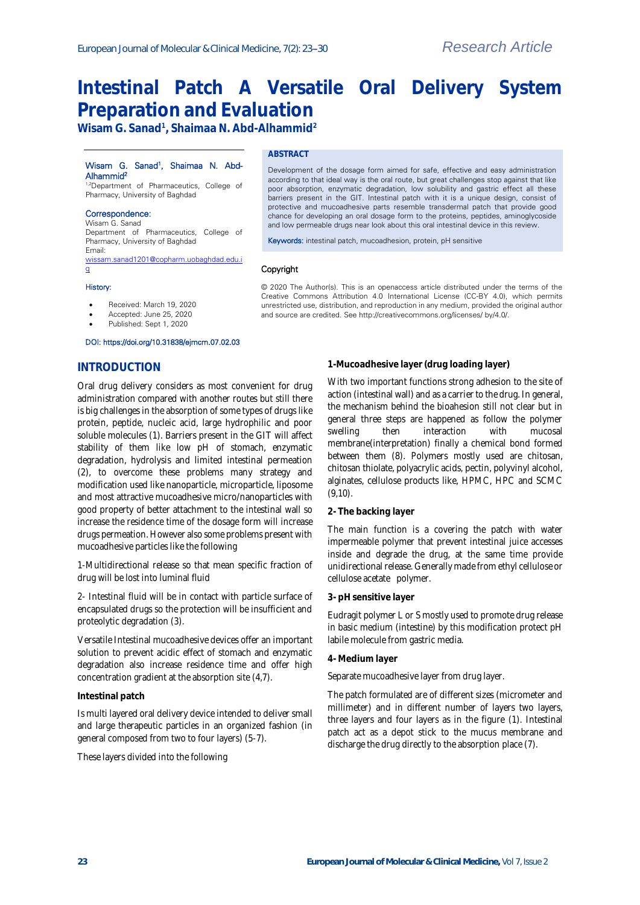# **Intestinal Patch A Versatile Oral Delivery System Preparation and Evaluation**

**Wisam G. Sanad<sup>1</sup> , Shaimaa N. Abd-Alhammid<sup>2</sup>**

## Wisam G. Sanad<sup>1</sup>, Shaimaa N. Abd-Alhammid<sup>2</sup>

1,2Department of Pharmaceutics, College of Pharmacy, University of Baghdad

#### Correspondence:

Wisam G. Sanad Department of Pharmaceutics, College of Pharmacy, University of Baghdad Email: [wissam.sanad1201@copharm.uobaghdad.edu.i](mailto:wissam.sanad1201@copharm.uobaghdad.edu.iq)

# **ABSTRACT**

Development of the dosage form aimed for safe, effective and easy administration according to that ideal way is the oral route, but great challenges stop against that like poor absorption, enzymatic degradation, low solubility and gastric effect all these barriers present in the GIT. Intestinal patch with it is a unique design, consist of protective and mucoadhesive parts resemble transdermal patch that provide good chance for developing an oral dosage form to the proteins, peptides, aminoglycoside and low permeable drugs near look about this oral intestinal device in this review.

Keywords: intestinal patch, mucoadhesion, protein, pH sensitive

# Copyright

#### History:

[q](mailto:wissam.sanad1201@copharm.uobaghdad.edu.iq) 

- Received: March 19, 2020
- Accepted: June 25, 2020
- Published: Sept 1, 2020

#### DOI: https://doi.org/10.31838/ejmcm.07.02.03

# **INTRODUCTION**

Oral drug delivery considers as most convenient for drug administration compared with another routes but still there is big challenges in the absorption of some types of drugs like protein, peptide, nucleic acid, large hydrophilic and poor soluble molecules (1). Barriers present in the GIT will affect stability of them like low pH of stomach, enzymatic degradation, hydrolysis and limited intestinal permeation (2), to overcome these problems many strategy and modification used like nanoparticle, microparticle, liposome and most attractive mucoadhesive micro/nanoparticles with good property of better attachment to the intestinal wall so increase the residence time of the dosage form will increase drugs permeation. However also some problems present with mucoadhesive particles like the following

1-Multidirectional release so that mean specific fraction of drug will be lost into luminal fluid

2- Intestinal fluid will be in contact with particle surface of encapsulated drugs so the protection will be insufficient and proteolytic degradation (3).

Versatile Intestinal mucoadhesive devices offer an important solution to prevent acidic effect of stomach and enzymatic degradation also increase residence time and offer high concentration gradient at the absorption site (4,7).

#### **Intestinal patch**

Is multi layered oral delivery device intended to deliver small and large therapeutic particles in an organized fashion (in general composed from two to four layers) (5-7).

These layers divided into the following

© 2020 The Author(s). This is an openaccess article distributed under the terms of the Creative Commons Attribution 4.0 International License (CC-BY 4.0), which permits unrestricted use, distribution, and reproduction in any medium, provided the original author and source are credited. See http://creativecommons.org/licenses/ by/4.0/.

## **1-Mucoadhesive layer (drug loading layer)**

With two important functions strong adhesion to the site of action (intestinal wall) and as a carrier to the drug. In general, the mechanism behind the bioahesion still not clear but in general three steps are happened as follow the polymer swelling then interaction with mucosal membrane(interpretation) finally a chemical bond formed between them (8). Polymers mostly used are chitosan, chitosan thiolate, polyacrylic acids, pectin, polyvinyl alcohol, alginates, cellulose products like, HPMC, HPC and SCMC (9,10).

#### **2- The backing layer**

The main function is a covering the patch with water impermeable polymer that prevent intestinal juice accesses inside and degrade the drug, at the same time provide unidirectional release. Generally made from ethyl cellulose or cellulose acetate polymer.

#### **3- pH sensitive layer**

Eudragit polymer L or S mostly used to promote drug release in basic medium (intestine) by this modification protect pH labile molecule from gastric media.

#### **4- Medium layer**

Separate mucoadhesive layer from drug layer.

The patch formulated are of different sizes (micrometer and millimeter) and in different number of layers two layers, three layers and four layers as in the figure (1). Intestinal patch act as a depot stick to the mucus membrane and discharge the drug directly to the absorption place (7).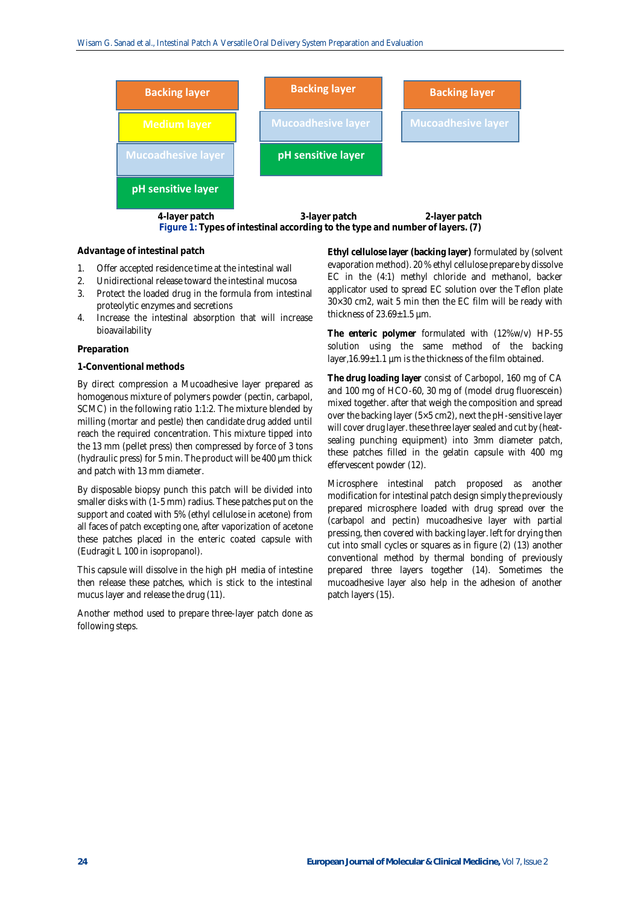

# **Advantage of intestinal patch**

- 1. Offer accepted residence time at the intestinal wall
- 2. Unidirectional release toward the intestinal mucosa
- 3. Protect the loaded drug in the formula from intestinal proteolytic enzymes and secretions
- 4. Increase the intestinal absorption that will increase bioavailability

#### **Preparation**

#### **1-Conventional methods**

By direct compression a Mucoadhesive layer prepared as homogenous mixture of polymers powder (pectin, carbapol, SCMC) in the following ratio 1:1:2. The mixture blended by milling (mortar and pestle) then candidate drug added until reach the required concentration. This mixture tipped into the 13 mm (pellet press) then compressed by force of 3 tons (hydraulic press) for 5 min. The product will be 400 µm thick and patch with 13 mm diameter.

By disposable biopsy punch this patch will be divided into smaller disks with (1-5 mm) radius. These patches put on the support and coated with 5% (ethyl cellulose in acetone) from all faces of patch excepting one, after vaporization of acetone these patches placed in the enteric coated capsule with (Eudragit L 100 in isopropanol).

This capsule will dissolve in the high pH media of intestine then release these patches, which is stick to the intestinal mucus layer and release the drug (11).

Another method used to prepare three-layer patch done as following steps.

**Ethyl cellulose layer (backing layer)** formulated by (solvent evaporation method). 20 % ethyl cellulose prepare by dissolve EC in the (4:1) methyl chloride and methanol, backer applicator used to spread EC solution over the Teflon plate 30×30 cm2, wait 5 min then the EC film will be ready with thickness of  $23.69 \pm 1.5$  um.

**The enteric polymer** formulated with (12%w/v) HP-55 solution using the same method of the backing layer,16.99±1.1 µm is the thickness of the film obtained.

**The drug loading layer** consist of Carbopol, 160 mg of CA and 100 mg of HCO-60, 30 mg of (model drug fluorescein) mixed together. after that weigh the composition and spread over the backing layer (5×5 cm2), next the pH-sensitive layer will cover drug layer. these three layer sealed and cut by (heatsealing punching equipment) into 3mm diameter patch, these patches filled in the gelatin capsule with 400 mg effervescent powder (12).

Microsphere intestinal patch proposed as another modification for intestinal patch design simply the previously prepared microsphere loaded with drug spread over the (carbapol and pectin) mucoadhesive layer with partial pressing, then covered with backing layer. left for drying then cut into small cycles or squares as in figure (2) (13) another conventional method by thermal bonding of previously prepared three layers together (14). Sometimes the mucoadhesive layer also help in the adhesion of another patch layers (15).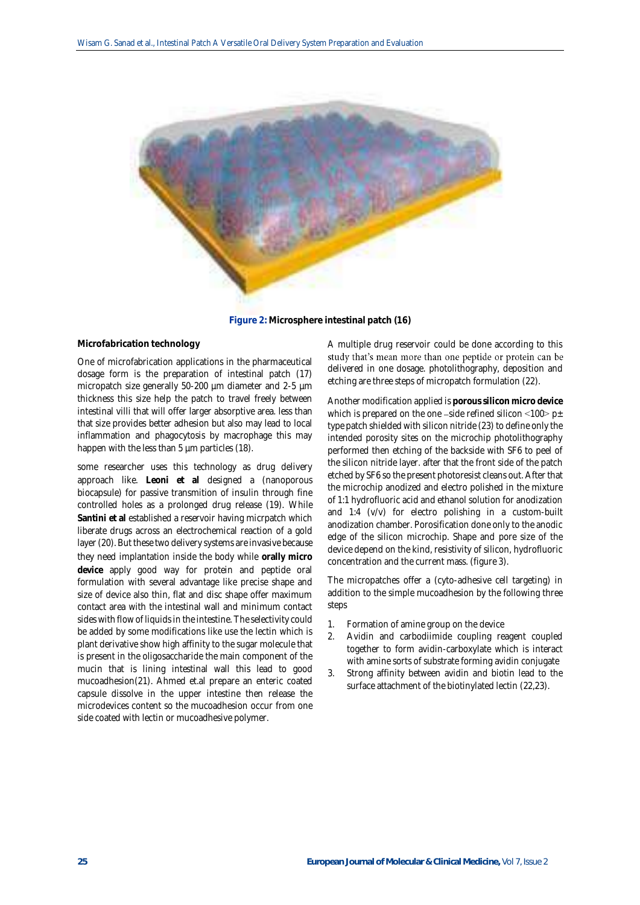

**Figure 2: Microsphere intestinal patch (16)**

## **Microfabrication technology**

One of microfabrication applications in the pharmaceutical dosage form is the preparation of intestinal patch (17) micropatch size generally 50-200 µm diameter and 2-5 µm thickness this size help the patch to travel freely between intestinal villi that will offer larger absorptive area. less than that size provides better adhesion but also may lead to local inflammation and phagocytosis by macrophage this may happen with the less than 5 µm particles (18).

some researcher uses this technology as drug delivery approach like. **Leoni et al** designed a (nanoporous biocapsule) for passive transmition of insulin through fine controlled holes as a prolonged drug release (19). While **Santini et al** established a reservoir having micrpatch which liberate drugs across an electrochemical reaction of a gold layer (20). But these two delivery systems are invasive because they need implantation inside the body while **orally micro device** apply good way for protein and peptide oral formulation with several advantage like precise shape and size of device also thin, flat and disc shape offer maximum contact area with the intestinal wall and minimum contact sides with flow of liquids in the intestine. The selectivity could be added by some modifications like use the lectin which is plant derivative show high affinity to the sugar molecule that is present in the oligosaccharide the main component of the mucin that is lining intestinal wall this lead to good mucoadhesion(21). Ahmed et.al prepare an enteric coated capsule dissolve in the upper intestine then release the microdevices content so the mucoadhesion occur from one side coated with lectin or mucoadhesive polymer.

A multiple drug reservoir could be done according to this study that's mean more than one peptide or protein can be delivered in one dosage. photolithography, deposition and etching are three steps of micropatch formulation (22).

Another modification applied is **porous silicon micro device** which is prepared on the one -side refined silicon  $\langle 100 \rangle$  p $\pm$ type patch shielded with silicon nitride (23) to define only the intended porosity sites on the microchip photolithography performed then etching of the backside with SF6 to peel of the silicon nitride layer. after that the front side of the patch etched by SF6 so the present photoresist cleans out. After that the microchip anodized and electro polished in the mixture of 1:1 hydrofluoric acid and ethanol solution for anodization and 1:4 (v/v) for electro polishing in a custom-built anodization chamber. Porosification done only to the anodic edge of the silicon microchip. Shape and pore size of the device depend on the kind, resistivity of silicon, hydrofluoric concentration and the current mass. (figure 3).

The micropatches offer a (cyto-adhesive cell targeting) in addition to the simple mucoadhesion by the following three steps

- 1. Formation of amine group on the device
- 2. Avidin and carbodiimide coupling reagent coupled together to form avidin-carboxylate which is interact with amine sorts of substrate forming avidin conjugate
- 3. Strong affinity between avidin and biotin lead to the surface attachment of the biotinylated lectin (22,23).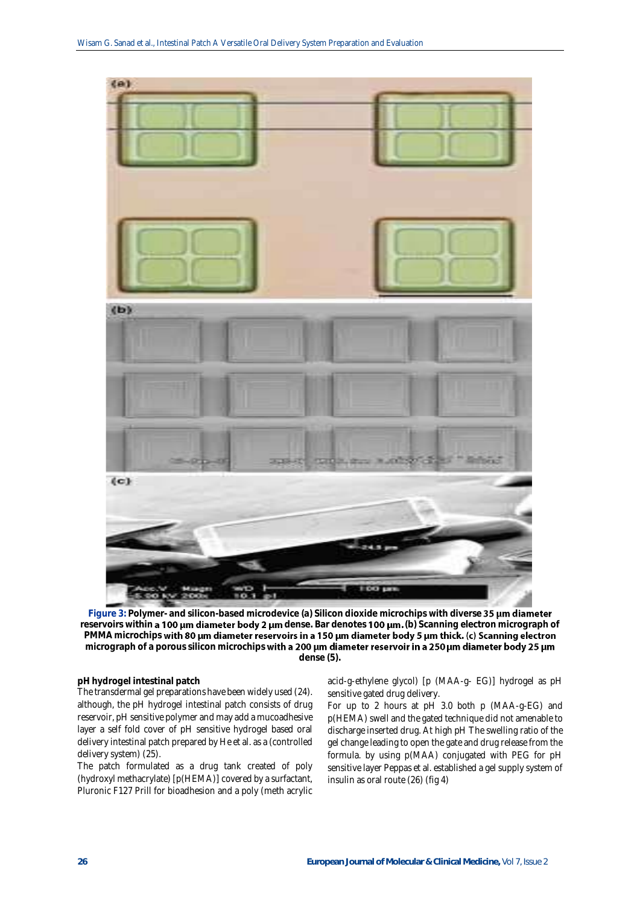

**Figure 3: Polymer- and silicon-based microdevice (a) Silicon dioxide microchips with diverse** reservoirs within **a 100 µm diameter body 2 µm** dense. Bar denotes **100 µm.** (b) Scanning electron micrograph of PMMA microchips with 80 µm diameter reservoirs in a 150 µm diameter body 5 µm thick. (c) Scanning electron micrograph of a porous silicon microchips with a 200 um diameter reservoir in a 250 um diameter body 25 um **dense (5).**

## **pH hydrogel intestinal patch**

The transdermal gel preparations have been widely used (24). although, the pH hydrogel intestinal patch consists of drug reservoir, pH sensitive polymer and may add a mucoadhesive layer a self fold cover of pH sensitive hydrogel based oral delivery intestinal patch prepared by He et al. as a (controlled delivery system) (25).

The patch formulated as a drug tank created of poly (hydroxyl methacrylate) [p(HEMA)] covered by a surfactant, Pluronic F127 Prill for bioadhesion and a poly (meth acrylic

acid-g-ethylene glycol) [p (MAA-g- EG)] hydrogel as pH sensitive gated drug delivery.

For up to 2 hours at pH 3.0 both p (MAA-g-EG) and p(HEMA) swell and the gated technique did not amenable to discharge inserted drug. At high pH The swelling ratio of the gel change leading to open the gate and drug release from the formula. by using p(MAA) conjugated with PEG for pH sensitive layer Peppas et al. established a gel supply system of insulin as oral route (26) (fig 4)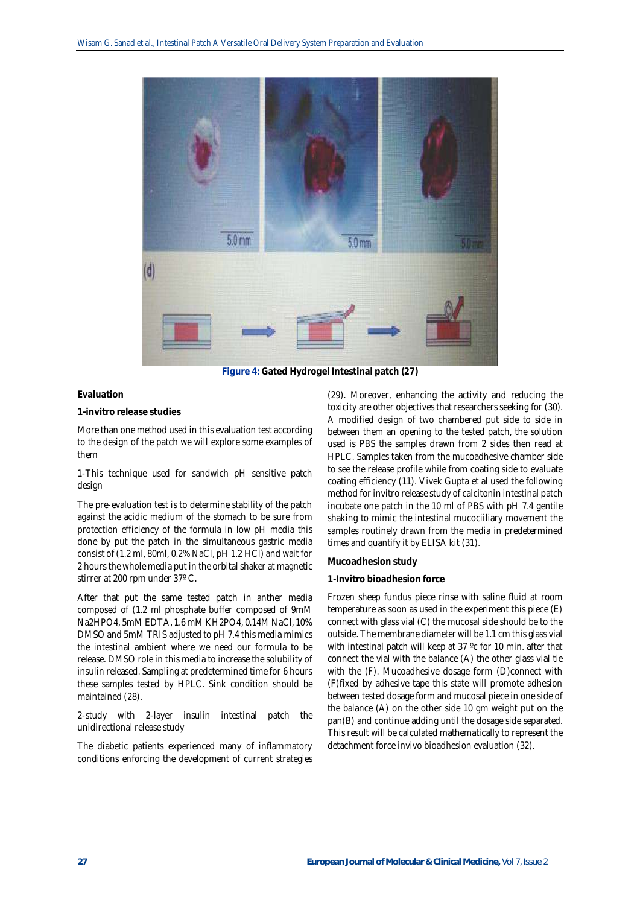

**Figure 4: Gated Hydrogel Intestinal patch (27)**

#### **Evaluation**

**1-invitro release studies**

More than one method used in this evaluation test according to the design of the patch we will explore some examples of them

1-This technique used for sandwich pH sensitive patch design

The pre-evaluation test is to determine stability of the patch against the acidic medium of the stomach to be sure from protection efficiency of the formula in low pH media this done by put the patch in the simultaneous gastric media consist of (1.2 ml, 80ml, 0.2% NaCl, pH 1.2 HCl) and wait for 2 hours the whole media put in the orbital shaker at magnetic stirrer at 200 rpm under 37º C.

After that put the same tested patch in anther media composed of (1.2 ml phosphate buffer composed of 9mM Na2HPO4, 5mM EDTA, 1.6 mM KH2PO4, 0.14M NaCl, 10% DMSO and 5mM TRIS adjusted to pH 7.4 this media mimics the intestinal ambient where we need our formula to be release. DMSO role in this media to increase the solubility of insulin released. Sampling at predetermined time for 6 hours these samples tested by HPLC. Sink condition should be maintained (28).

2-study with 2-layer insulin intestinal patch the unidirectional release study

The diabetic patients experienced many of inflammatory conditions enforcing the development of current strategies

(29). Moreover, enhancing the activity and reducing the toxicity are other objectives that researchers seeking for (30). A modified design of two chambered put side to side in between them an opening to the tested patch, the solution used is PBS the samples drawn from 2 sides then read at HPLC. Samples taken from the mucoadhesive chamber side to see the release profile while from coating side to evaluate coating efficiency (11). Vivek Gupta et al used the following method for invitro release study of calcitonin intestinal patch incubate one patch in the 10 ml of PBS with pH 7.4 gentile shaking to mimic the intestinal mucociiliary movement the samples routinely drawn from the media in predetermined times and quantify it by ELISA kit (31).

## **Mucoadhesion study**

#### **1-Invitro bioadhesion force**

Frozen sheep fundus piece rinse with saline fluid at room temperature as soon as used in the experiment this piece (E) connect with glass vial (C) the mucosal side should be to the outside. The membrane diameter will be 1.1 cm this glass vial with intestinal patch will keep at 37 °c for 10 min. after that connect the vial with the balance (A) the other glass vial tie with the (F). Mucoadhesive dosage form (D)connect with (F)fixed by adhesive tape this state will promote adhesion between tested dosage form and mucosal piece in one side of the balance (A) on the other side 10 gm weight put on the pan(B) and continue adding until the dosage side separated. This result will be calculated mathematically to represent the detachment force invivo bioadhesion evaluation (32).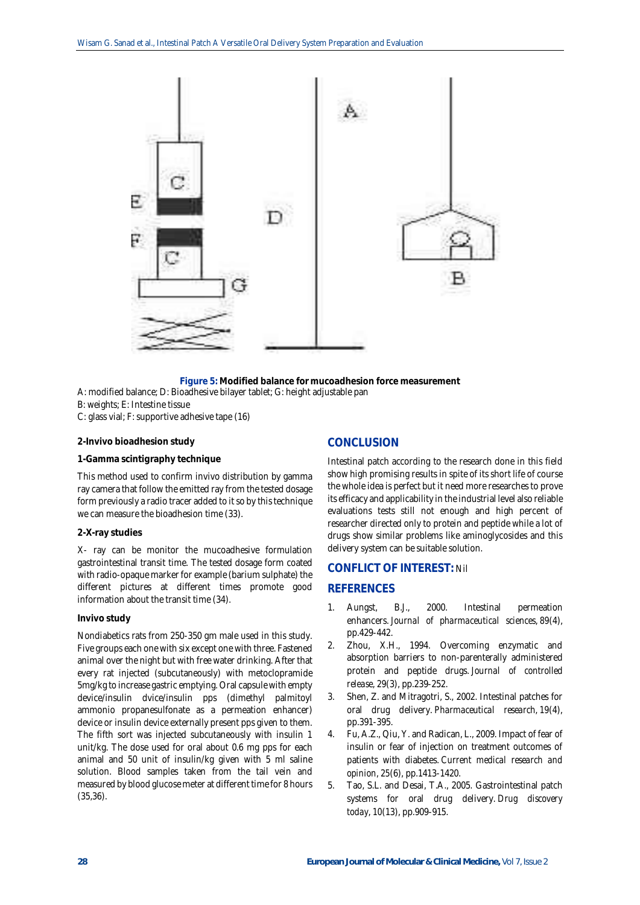

**Figure 5: Modified balance for mucoadhesion force measurement** A: modified balance; D: Bioadhesive bilayer tablet; G: height adjustable pan B: weights; E: Intestine tissue C: glass vial; F: supportive adhesive tape (16)

## **2-Invivo bioadhesion study**

#### **1-Gamma scintigraphy technique**

This method used to confirm invivo distribution by gamma ray camera that follow the emitted ray from the tested dosage form previously a radio tracer added to it so by this technique we can measure the bioadhesion time (33).

#### **2-X-ray studies**

X- ray can be monitor the mucoadhesive formulation gastrointestinal transit time. The tested dosage form coated with radio-opaque marker for example (barium sulphate) the different pictures at different times promote good information about the transit time (34).

#### **Invivo study**

Nondiabetics rats from 250-350 gm male used in this study. Five groups each one with six except one with three. Fastened animal over the night but with free water drinking. After that every rat injected (subcutaneously) with metoclopramide 5mg/kg to increase gastric emptying. Oral capsule with empty device/insulin dvice/insulin pps (dimethyl palmitoyl ammonio propanesulfonate as a permeation enhancer) device or insulin device externally present pps given to them. The fifth sort was injected subcutaneously with insulin 1 unit/kg. The dose used for oral about 0.6 mg pps for each animal and 50 unit of insulin/kg given with 5 ml saline solution. Blood samples taken from the tail vein and measured by blood glucose meter at different time for 8 hours (35,36).

# **CONCLUSION**

Intestinal patch according to the research done in this field show high promising results in spite of its short life of course the whole idea is perfect but it need more researches to prove its efficacy and applicability in the industrial level also reliable evaluations tests still not enough and high percent of researcher directed only to protein and peptide while a lot of drugs show similar problems like aminoglycosides and this delivery system can be suitable solution.

# **CONFLICT OF INTEREST:** Nil

# **REFERENCES**

- 1. Aungst, B.J., 2000. Intestinal permeation enhancers. *Journal of pharmaceutical sciences*, *89*(4), pp.429-442.
- 2. Zhou, X.H., 1994. Overcoming enzymatic and absorption barriers to non-parenterally administered protein and peptide drugs. *Journal of controlled release*, *29*(3), pp.239-252.
- 3. Shen, Z. and Mitragotri, S., 2002. Intestinal patches for oral drug delivery. *Pharmaceutical research*, *19*(4), pp.391-395.
- 4. Fu, A.Z., Qiu, Y. and Radican, L., 2009. Impact of fear of insulin or fear of injection on treatment outcomes of patients with diabetes. *Current medical research and opinion*, *25*(6), pp.1413-1420.
- 5. Tao, S.L. and Desai, T.A., 2005. Gastrointestinal patch systems for oral drug delivery. *Drug discovery today*, *10*(13), pp.909-915.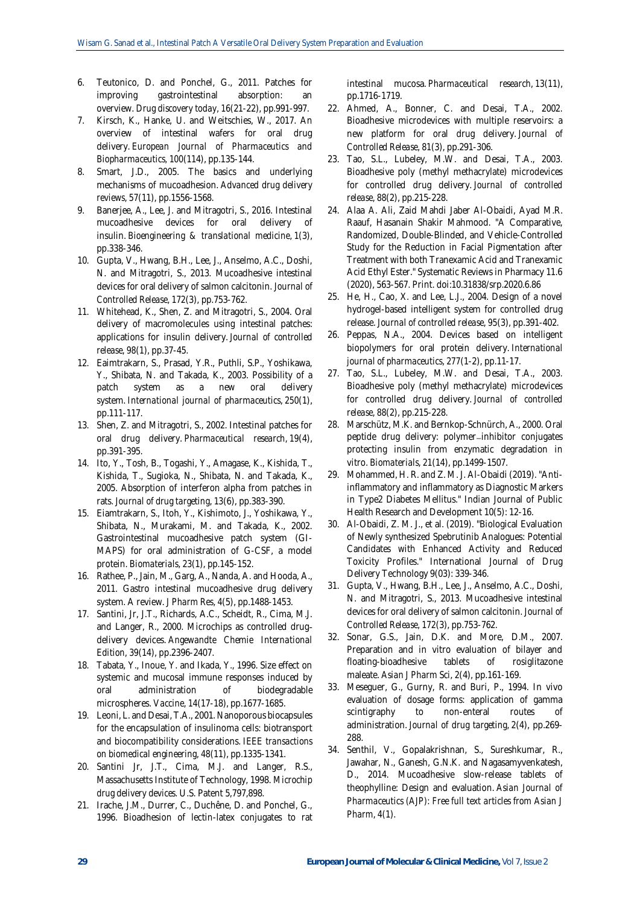- 6. Teutonico, D. and Ponchel, G., 2011. Patches for improving gastrointestinal absorption: an overview. *Drug discovery today*, *16*(21-22), pp.991-997.
- 7. Kirsch, K., Hanke, U. and Weitschies, W., 2017. An overview of intestinal wafers for oral drug delivery. *European Journal of Pharmaceutics and Biopharmaceutics*, *100*(114), pp.135-144.
- 8. Smart, J.D., 2005. The basics and underlying mechanisms of mucoadhesion. *Advanced drug delivery reviews*, *57*(11), pp.1556-1568.
- 9. Banerjee, A., Lee, J. and Mitragotri, S., 2016. Intestinal mucoadhesive devices for oral delivery of insulin. *Bioengineering & translational medicine*, *1*(3), pp.338-346.
- 10. Gupta, V., Hwang, B.H., Lee, J., Anselmo, A.C., Doshi, N. and Mitragotri, S., 2013. Mucoadhesive intestinal devices for oral delivery of salmon calcitonin. *Journal of Controlled Release*, *172*(3), pp.753-762.
- 11. Whitehead, K., Shen, Z. and Mitragotri, S., 2004. Oral delivery of macromolecules using intestinal patches: applications for insulin delivery. *Journal of controlled release*, *98*(1), pp.37-45.
- 12. Eaimtrakarn, S., Prasad, Y.R., Puthli, S.P., Yoshikawa, Y., Shibata, N. and Takada, K., 2003. Possibility of a patch system as a new oral delivery system. *International journal of pharmaceutics*, *250*(1), pp.111-117.
- 13. Shen, Z. and Mitragotri, S., 2002. Intestinal patches for oral drug delivery. *Pharmaceutical research*, *19*(4), pp.391-395.
- 14. Ito, Y., Tosh, B., Togashi, Y., Amagase, K., Kishida, T., Kishida, T., Sugioka, N., Shibata, N. and Takada, K., 2005. Absorption of interferon alpha from patches in rats. *Journal of drug targeting*, *13*(6), pp.383-390.
- 15. Eiamtrakarn, S., Itoh, Y., Kishimoto, J., Yoshikawa, Y., Shibata, N., Murakami, M. and Takada, K., 2002. Gastrointestinal mucoadhesive patch system (GI-MAPS) for oral administration of G-CSF, a model protein. *Biomaterials*, *23*(1), pp.145-152.
- 16. Rathee, P., Jain, M., Garg, A., Nanda, A. and Hooda, A., 2011. Gastro intestinal mucoadhesive drug delivery system. A review. *J Pharm Res*, *4*(5), pp.1488-1453.
- 17. Santini, Jr, J.T., Richards, A.C., Scheidt, R., Cima, M.J. and Langer, R., 2000. Microchips as controlled drug‐ delivery devices. *Angewandte Chemie International Edition*, *39*(14), pp.2396-2407.
- 18. Tabata, Y., Inoue, Y. and Ikada, Y., 1996. Size effect on systemic and mucosal immune responses induced by oral administration of biodegradable microspheres. *Vaccine*, *14*(17-18), pp.1677-1685.
- 19. Leoni, L. and Desai, T.A., 2001. Nanoporous biocapsules for the encapsulation of insulinoma cells: biotransport and biocompatibility considerations. *IEEE transactions on biomedical engineering*, *48*(11), pp.1335-1341.
- 20. Santini Jr, J.T., Cima, M.J. and Langer, R.S., Massachusetts Institute of Technology, 1998. *Microchip drug delivery devices*. U.S. Patent 5,797,898.
- 21. Irache, J.M., Durrer, C., Duchêne, D. and Ponchel, G., 1996. Bioadhesion of lectin-latex conjugates to rat

intestinal mucosa. *Pharmaceutical research*, *13*(11), pp.1716-1719.

- 22. Ahmed, A., Bonner, C. and Desai, T.A., 2002. Bioadhesive microdevices with multiple reservoirs: a new platform for oral drug delivery. *Journal of Controlled Release*, *81*(3), pp.291-306.
- 23. Tao, S.L., Lubeley, M.W. and Desai, T.A., 2003. Bioadhesive poly (methyl methacrylate) microdevices for controlled drug delivery. *Journal of controlled release*, *88*(2), pp.215-228.
- 24. Alaa A. Ali, Zaid Mahdi Jaber Al-Obaidi, Ayad M.R. Raauf, Hasanain Shakir Mahmood. "A Comparative, Randomized, Double-Blinded, and Vehicle-Controlled Study for the Reduction in Facial Pigmentation after Treatment with both Tranexamic Acid and Tranexamic Acid Ethyl Ester." Systematic Reviews in Pharmacy 11.6 (2020), 563-567. Print. doi:10.31838/srp.2020.6.86
- 25. He, H., Cao, X. and Lee, L.J., 2004. Design of a novel hydrogel-based intelligent system for controlled drug release. *Journal of controlled release*, *95*(3), pp.391-402.
- 26. Peppas, N.A., 2004. Devices based on intelligent biopolymers for oral protein delivery. *International journal of pharmaceutics*, *277*(1-2), pp.11-17.
- 27. Tao, S.L., Lubeley, M.W. and Desai, T.A., 2003. Bioadhesive poly (methyl methacrylate) microdevices for controlled drug delivery. *Journal of controlled release*, *88*(2), pp.215-228.
- 28. Marschütz, M.K. and Bernkop-Schnürch, A., 2000. Oral peptide drug delivery: polymer-inhibitor conjugates protecting insulin from enzymatic degradation in vitro. *Biomaterials*, *21*(14), pp.1499-1507.
- 29. Mohammed, H. R. and Z. M. J. Al-Obaidi (2019). "Antiinflammatory and inflammatory as Diagnostic Markers in Type2 Diabetes Mellitus." Indian Journal of Public Health Research and Development 10(5): 12-16.
- 30. Al-Obaidi, Z. M. J., et al. (2019). "Biological Evaluation of Newly synthesized Spebrutinib Analogues: Potential Candidates with Enhanced Activity and Reduced Toxicity Profiles." International Journal of Drug Delivery Technology 9(03): 339-346.
- 31. Gupta, V., Hwang, B.H., Lee, J., Anselmo, A.C., Doshi, N. and Mitragotri, S., 2013. Mucoadhesive intestinal devices for oral delivery of salmon calcitonin. *Journal of Controlled Release*, *172*(3), pp.753-762.
- 32. Sonar, G.S., Jain, D.K. and More, D.M., 2007. Preparation and in vitro evaluation of bilayer and floating-bioadhesive tablets of rosiglitazone maleate. *Asian J Pharm Sci*, *2*(4), pp.161-169.
- 33. Meseguer, G., Gurny, R. and Buri, P., 1994. In vivo evaluation of dosage forms: application of gamma scintigraphy to non-enteral routes of administration. *Journal of drug targeting*, *2*(4), pp.269- 288.
- 34. Senthil, V., Gopalakrishnan, S., Sureshkumar, R., Jawahar, N., Ganesh, G.N.K. and Nagasamyvenkatesh, D., 2014. Mucoadhesive slow-release tablets of theophylline: Design and evaluation. *Asian Journal of Pharmaceutics (AJP): Free full text articles from Asian J Pharm*, *4*(1).